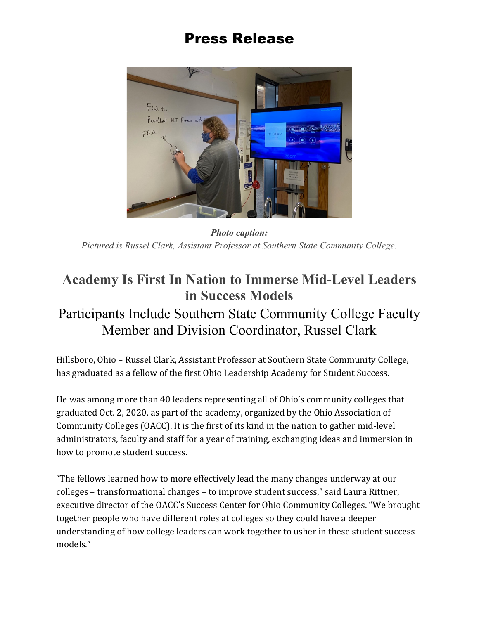## Press Release



*Photo caption: Pictured is Russel Clark, Assistant Professor at Southern State Community College.* 

## **Academy Is First In Nation to Immerse Mid-Level Leaders in Success Models**

## Participants Include Southern State Community College Faculty Member and Division Coordinator, Russel Clark

Hillsboro, Ohio – Russel Clark, Assistant Professor at Southern State Community College, has graduated as a fellow of the first Ohio Leadership Academy for Student Success.

He was among more than 40 leaders representing all of Ohio's community colleges that graduated Oct. 2, 2020, as part of the academy, organized by the Ohio Association of Community Colleges (OACC). It is the first of its kind in the nation to gather mid-level administrators, faculty and staff for a year of training, exchanging ideas and immersion in how to promote student success.

"The fellows learned how to more effectively lead the many changes underway at our colleges – transformational changes – to improve student success," said Laura Rittner, executive director of the OACC's Success Center for Ohio Community Colleges. "We brought together people who have different roles at colleges so they could have a deeper understanding of how college leaders can work together to usher in these student success models."